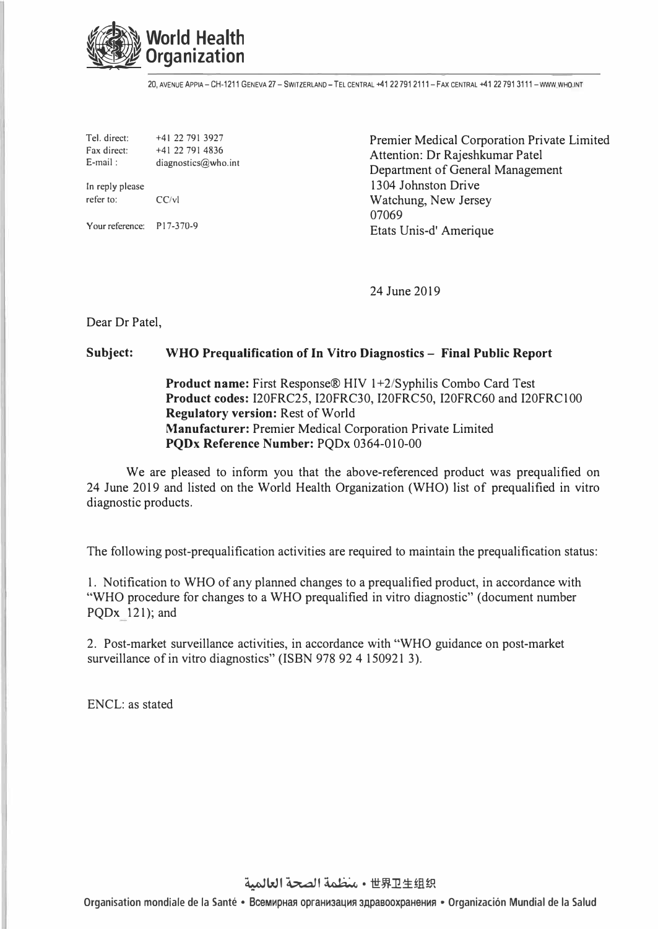

20, AVENUE APPIA-CH-1211 GENEVA 27 - SWITZERLAND -TEL CENTRAL -+41 22 791 2111-FAX CENTRAL -+41 22 791 3111 -WWW WHO.INT

Tel. direct: +41 22 791 3927 Fax direct:  $+41$  22 791 4836<br>E-mail: diagnostics@who diagnostics@who.int

In reply please<br>refer to:  $CC/vl$ refer to:

Your reference: P17-370-9

Premier Medical Corporation Private Limited Attention: Dr Rajeshkumar Patel Department of General Management 1304 Johnston Drive Watchung, New Jersey 07069 Etats Unis-d' Amerique

24 June 2019

Dear Dr Patel,

## **Subject: WHO Prequalification of In Vitro Diagnostics - Final Public Report**

**Product name:** First Response® HIV 1+2/Syphilis Combo Card Test **Product codes:** I20FRC25, I20FRC30, I20FRC50, I20FRC60 and I20FRC 100 **Regulatory version:** Rest of World **Manufacturer:** Premier Medical Corporation Private Limited **PQDx Reference Number:** PQDx 0364-010-00

We are pleased to inform you that the above-referenced product was prequalified on 24 June 2019 and listed on the World Health Organization (WHO) list of prequalified in vitro diagnostic products.

The following post-prequalification activities are required to maintain the prequalification status:

1. Notification to WHO of any planned changes to a prequalified product, in accordance with "WHO procedure for changes to a WHO prequalified in vitro diagnostic" (document number PQDx 121); and

2. Post-market surveillance activities, in accordance with "WHO guidance on post-market surveillance of in vitro diagnostics" (ISBN 978 92 4 150921 3).

ENCL: as stated

لصحة العالمية • 世界卫生组织

Organisation mondiale de la Santé • Всемирная организация здравоохранения • Organización Mundial de la Salud